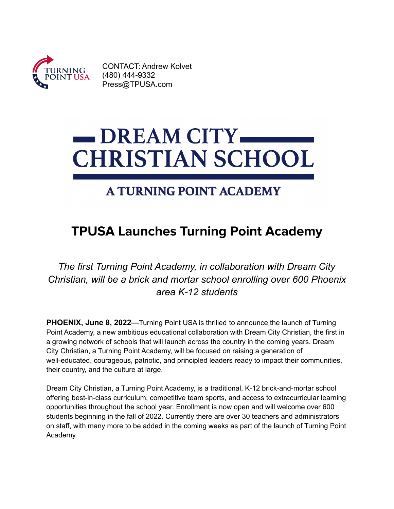

CONTACT: Andrew Kolvet (480) 444-9332 [Press@TPUSA.com](mailto:Press@TPUSA.com)

## **DREAM CITY CHRISTIAN SCHOOL**

## **A TURNING POINT ACADEMY**

## **TPUSA Launches Turning Point Academy**

*The first Turning Point Academy, in collaboration with Dream City Christian, will be a brick and mortar school enrolling over 600 Phoenix area K-12 students*

**PHOENIX, June 8, 2022—**Turning Point USA is thrilled to announce the launch of Turning Point Academy, a new ambitious educational collaboration with Dream City Christian, the first in a growing network of schools that will launch across the country in the coming years. Dream City Christian, a Turning Point Academy, will be focused on raising a generation of well-educated, courageous, patriotic, and principled leaders ready to impact their communities, their country, and the culture at large.

Dream City Christian, a Turning Point Academy, is a traditional, K-12 brick-and-mortar school offering best-in-class curriculum, competitive team sports, and access to extracurricular learning opportunities throughout the school year. Enrollment is now open and will welcome over 600 students beginning in the fall of 2022. Currently there are over 30 teachers and administrators on staff, with many more to be added in the coming weeks as part of the launch of Turning Point Academy.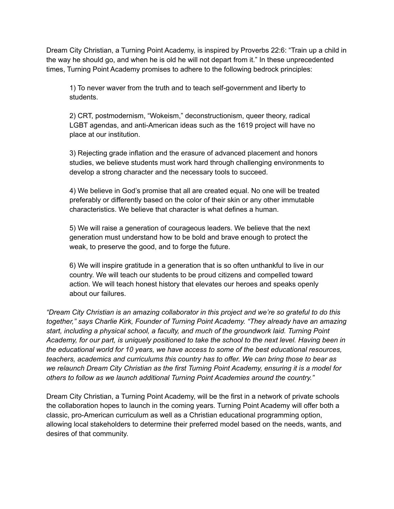Dream City Christian, a Turning Point Academy, is inspired by Proverbs 22:6: "Train up a child in the way he should go, and when he is old he will not depart from it." In these unprecedented times, Turning Point Academy promises to adhere to the following bedrock principles:

1) To never waver from the truth and to teach self-government and liberty to students.

2) CRT, postmodernism, "Wokeism," deconstructionism, queer theory, radical LGBT agendas, and anti-American ideas such as the 1619 project will have no place at our institution.

3) Rejecting grade inflation and the erasure of advanced placement and honors studies, we believe students must work hard through challenging environments to develop a strong character and the necessary tools to succeed.

4) We believe in God's promise that all are created equal. No one will be treated preferably or differently based on the color of their skin or any other immutable characteristics. We believe that character is what defines a human.

5) We will raise a generation of courageous leaders. We believe that the next generation must understand how to be bold and brave enough to protect the weak, to preserve the good, and to forge the future.

6) We will inspire gratitude in a generation that is so often unthankful to live in our country. We will teach our students to be proud citizens and compelled toward action. We will teach honest history that elevates our heroes and speaks openly about our failures.

*"Dream City Christian is an amazing collaborator in this project and we're so grateful to do this together," says Charlie Kirk, Founder of Turning Point Academy. "They already have an amazing start, including a physical school, a faculty, and much of the groundwork laid. Turning Point Academy, for our part, is uniquely positioned to take the school to the next level. Having been in the educational world for 10 years, we have access to some of the best educational resources, teachers, academics and curriculums this country has to offer. We can bring those to bear as we relaunch Dream City Christian as the first Turning Point Academy, ensuring it is a model for others to follow as we launch additional Turning Point Academies around the country."*

Dream City Christian, a Turning Point Academy, will be the first in a network of private schools the collaboration hopes to launch in the coming years. Turning Point Academy will offer both a classic, pro-American curriculum as well as a Christian educational programming option, allowing local stakeholders to determine their preferred model based on the needs, wants, and desires of that community.